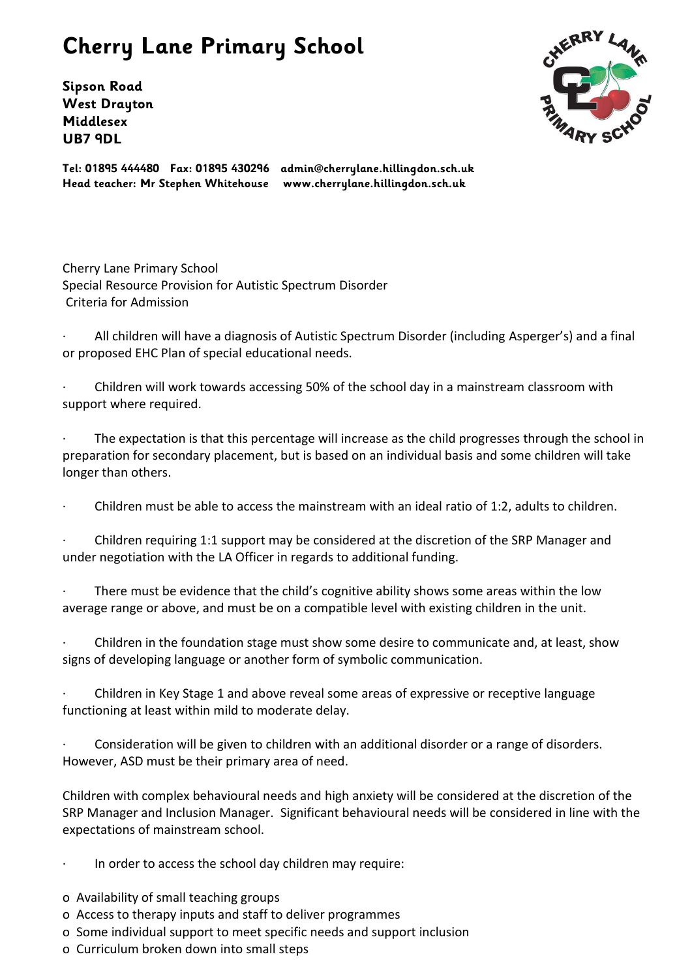## **Cherry Lane Primary School**

**Sipson Road West Drayton Middlesex UB7 9DL**



**Tel: 01895 444480 Fax: 01895 430296 admin@cherrylane.hillingdon.sch.uk Head teacher: Mr Stephen Whitehouse www.cherrylane.hillingdon.sch.uk**

Cherry Lane Primary School Special Resource Provision for Autistic Spectrum Disorder Criteria for Admission

All children will have a diagnosis of Autistic Spectrum Disorder (including Asperger's) and a final or proposed EHC Plan of special educational needs.

· Children will work towards accessing 50% of the school day in a mainstream classroom with support where required.

The expectation is that this percentage will increase as the child progresses through the school in preparation for secondary placement, but is based on an individual basis and some children will take longer than others.

· Children must be able to access the mainstream with an ideal ratio of 1:2, adults to children.

· Children requiring 1:1 support may be considered at the discretion of the SRP Manager and under negotiation with the LA Officer in regards to additional funding.

There must be evidence that the child's cognitive ability shows some areas within the low average range or above, and must be on a compatible level with existing children in the unit.

· Children in the foundation stage must show some desire to communicate and, at least, show signs of developing language or another form of symbolic communication.

· Children in Key Stage 1 and above reveal some areas of expressive or receptive language functioning at least within mild to moderate delay.

Consideration will be given to children with an additional disorder or a range of disorders. However, ASD must be their primary area of need.

Children with complex behavioural needs and high anxiety will be considered at the discretion of the SRP Manager and Inclusion Manager. Significant behavioural needs will be considered in line with the expectations of mainstream school.

- In order to access the school day children may require:
- o Availability of small teaching groups
- o Access to therapy inputs and staff to deliver programmes
- o Some individual support to meet specific needs and support inclusion
- o Curriculum broken down into small steps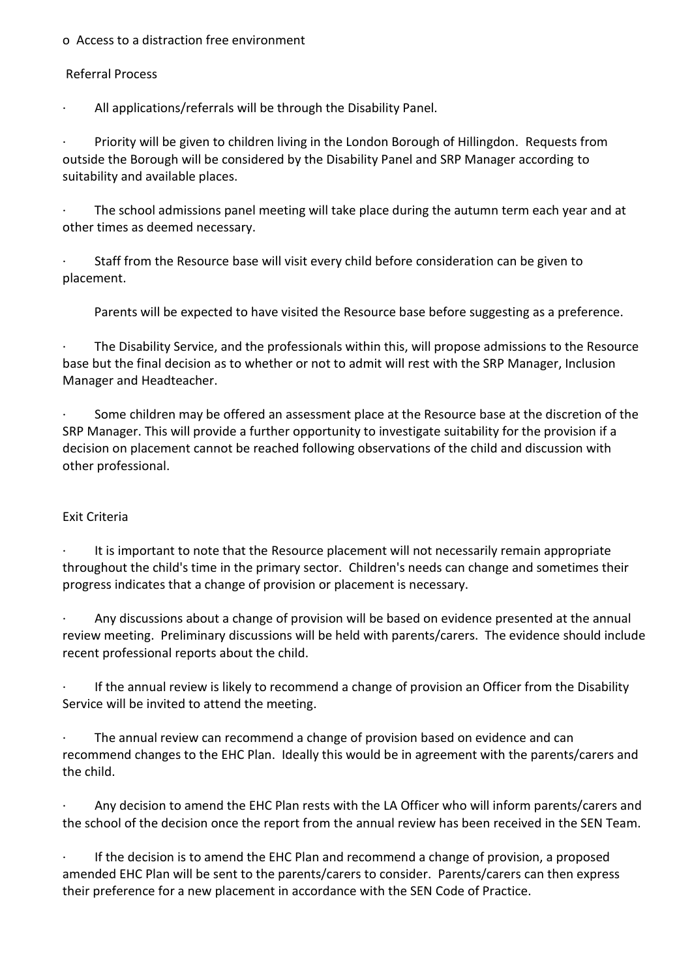## o Access to a distraction free environment

## Referral Process

All applications/referrals will be through the Disability Panel.

· Priority will be given to children living in the London Borough of Hillingdon. Requests from outside the Borough will be considered by the Disability Panel and SRP Manager according to suitability and available places.

The school admissions panel meeting will take place during the autumn term each year and at other times as deemed necessary.

· Staff from the Resource base will visit every child before consideration can be given to placement.

Parents will be expected to have visited the Resource base before suggesting as a preference.

The Disability Service, and the professionals within this, will propose admissions to the Resource base but the final decision as to whether or not to admit will rest with the SRP Manager, Inclusion Manager and Headteacher.

· Some children may be offered an assessment place at the Resource base at the discretion of the SRP Manager. This will provide a further opportunity to investigate suitability for the provision if a decision on placement cannot be reached following observations of the child and discussion with other professional.

## Exit Criteria

It is important to note that the Resource placement will not necessarily remain appropriate throughout the child's time in the primary sector. Children's needs can change and sometimes their progress indicates that a change of provision or placement is necessary.

Any discussions about a change of provision will be based on evidence presented at the annual review meeting. Preliminary discussions will be held with parents/carers. The evidence should include recent professional reports about the child.

If the annual review is likely to recommend a change of provision an Officer from the Disability Service will be invited to attend the meeting.

The annual review can recommend a change of provision based on evidence and can recommend changes to the EHC Plan. Ideally this would be in agreement with the parents/carers and the child.

Any decision to amend the EHC Plan rests with the LA Officer who will inform parents/carers and the school of the decision once the report from the annual review has been received in the SEN Team.

If the decision is to amend the EHC Plan and recommend a change of provision, a proposed amended EHC Plan will be sent to the parents/carers to consider. Parents/carers can then express their preference for a new placement in accordance with the SEN Code of Practice.